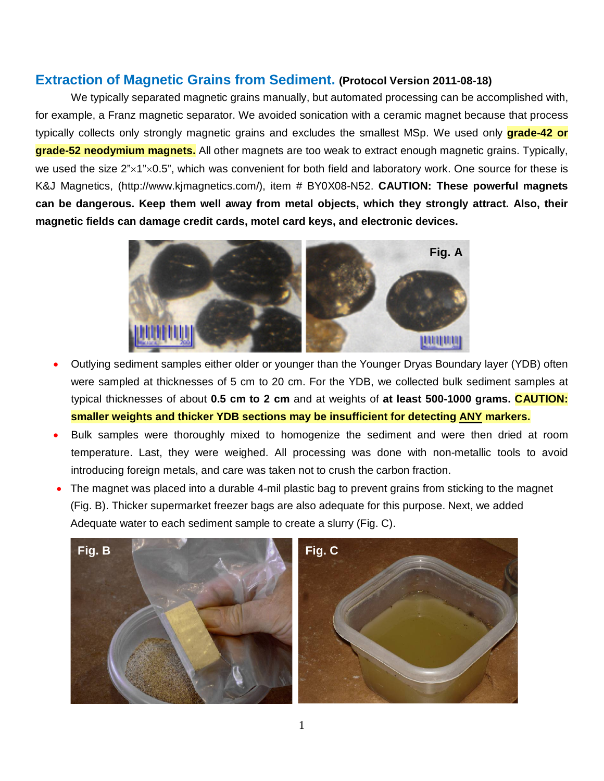## **Extraction of Magnetic Grains from Sediment. (Protocol Version 2011-08-18)**

We typically separated magnetic grains manually, but automated processing can be accomplished with, for example, a Franz magnetic separator. We avoided sonication with a ceramic magnet because that process typically collects only strongly magnetic grains and excludes the smallest MSp. We used only **grade-42 or grade-52 neodymium magnets.** All other magnets are too weak to extract enough magnetic grains. Typically, we used the size  $2^{\prime\prime} \times 1^{\prime\prime} \times 0.5^{\prime\prime}$ , which was convenient for both field and laboratory work. One source for these is K&J Magnetics, [\(http://www.kjmagnetics.com/\)](http://www.kjmagnetics.com/), item # BY0X08-N52. **CAUTION: These powerful magnets can be dangerous. Keep them well away from metal objects, which they strongly attract. Also, their magnetic fields can damage credit cards, motel card keys, and electronic devices.**



- Outlying sediment samples either older or younger than the Younger Dryas Boundary layer (YDB) often were sampled at thicknesses of 5 cm to 20 cm. For the YDB, we collected bulk sediment samples at typical thicknesses of about **0.5 cm to 2 cm** and at weights of **at least 500-1000 grams. CAUTION: smaller weights and thicker YDB sections may be insufficient for detecting ANY markers.**
- Bulk samples were thoroughly mixed to homogenize the sediment and were then dried at room temperature. Last, they were weighed. All processing was done with non-metallic tools to avoid introducing foreign metals, and care was taken not to crush the carbon fraction.
- The magnet was placed into a durable 4-mil plastic bag to prevent grains from sticking to the magnet (Fig. B). Thicker supermarket freezer bags are also adequate for this purpose. Next, we added Adequate water to each sediment sample to create a slurry (Fig. C).

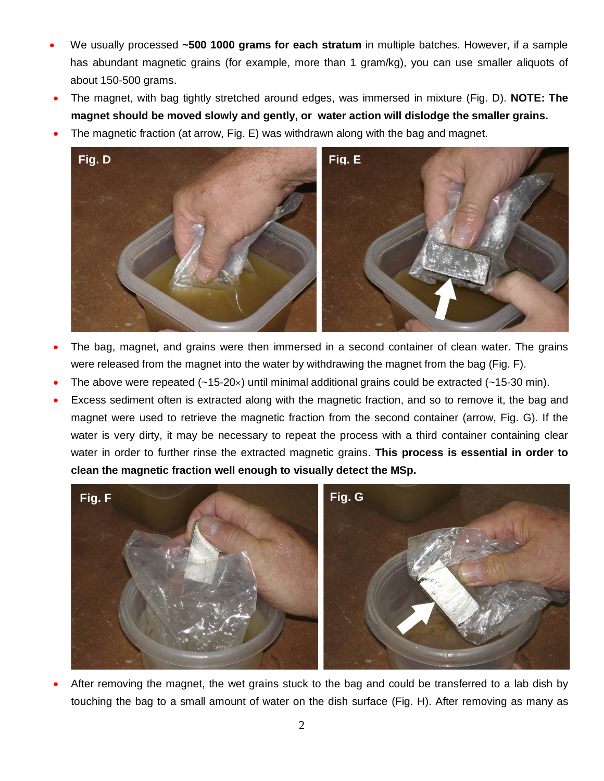- We usually processed **~500 1000 grams for each stratum** in multiple batches. However, if a sample has abundant magnetic grains (for example, more than 1 gram/kg), you can use smaller aliquots of about 150-500 grams.
- The magnet, with bag tightly stretched around edges, was immersed in mixture (Fig. D). **NOTE: The magnet should be moved slowly and gently, or water action will dislodge the smaller grains.**
- The magnetic fraction (at arrow, Fig. E) was withdrawn along with the bag and magnet.



- The bag, magnet, and grains were then immersed in a second container of clean water. The grains were released from the magnet into the water by withdrawing the magnet from the bag (Fig. F).
- The above were repeated  $(-15-20\times)$  until minimal additional grains could be extracted  $(-15-30 \text{ min})$ .
- Excess sediment often is extracted along with the magnetic fraction, and so to remove it, the bag and magnet were used to retrieve the magnetic fraction from the second container (arrow, Fig. G). If the water is very dirty, it may be necessary to repeat the process with a third container containing clear water in order to further rinse the extracted magnetic grains. **This process is essential in order to clean the magnetic fraction well enough to visually detect the MSp.**



• After removing the magnet, the wet grains stuck to the bag and could be transferred to a lab dish by touching the bag to a small amount of water on the dish surface (Fig. H). After removing as many as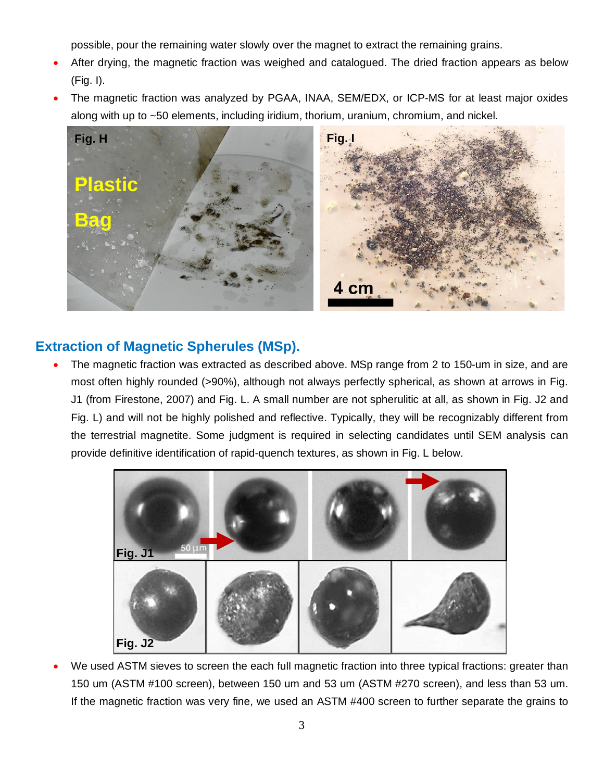possible, pour the remaining water slowly over the magnet to extract the remaining grains.

- After drying, the magnetic fraction was weighed and catalogued. The dried fraction appears as below (Fig. I).
- The magnetic fraction was analyzed by PGAA, INAA, SEM/EDX, or ICP-MS for at least major oxides along with up to ~50 elements, including iridium, thorium, uranium, chromium, and nickel.



## **Extraction of Magnetic Spherules (MSp).**

The magnetic fraction was extracted as described above. MSp range from 2 to 150-um in size, and are most often highly rounded (>90%), although not always perfectly spherical, as shown at arrows in Fig. J1 (from Firestone, 2007) and Fig. L. A small number are not spherulitic at all, as shown in Fig. J2 and Fig. L) and will not be highly polished and reflective. Typically, they will be recognizably different from the terrestrial magnetite. Some judgment is required in selecting candidates until SEM analysis can provide definitive identification of rapid-quench textures, as shown in Fig. L below.



We used ASTM sieves to screen the each full magnetic fraction into three typical fractions: greater than 150 um (ASTM #100 screen), between 150 um and 53 um (ASTM #270 screen), and less than 53 um. If the magnetic fraction was very fine, we used an ASTM #400 screen to further separate the grains to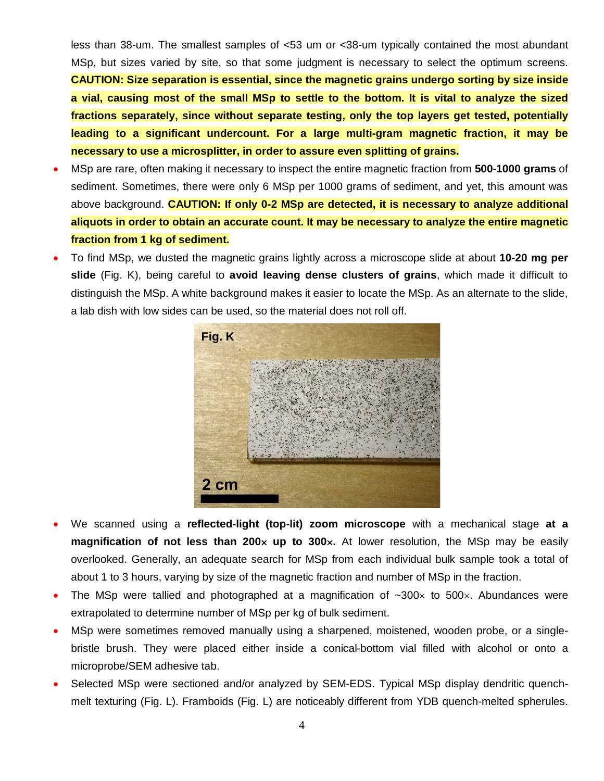less than 38-um. The smallest samples of <53 um or <38-um typically contained the most abundant MSp, but sizes varied by site, so that some judgment is necessary to select the optimum screens. **CAUTION: Size separation is essential, since the magnetic grains undergo sorting by size inside a vial, causing most of the small MSp to settle to the bottom. It is vital to analyze the sized fractions separately, since without separate testing, only the top layers get tested, potentially leading to a significant undercount. For a large multi-gram magnetic fraction, it may be necessary to use a microsplitter, in order to assure even splitting of grains.**

- MSp are rare, often making it necessary to inspect the entire magnetic fraction from **500-1000 grams** of sediment. Sometimes, there were only 6 MSp per 1000 grams of sediment, and yet, this amount was above background. **CAUTION: If only 0-2 MSp are detected, it is necessary to analyze additional aliquots in order to obtain an accurate count. It may be necessary to analyze the entire magnetic fraction from 1 kg of sediment.**
- To find MSp, we dusted the magnetic grains lightly across a microscope slide at about **10-20 mg per slide** (Fig. K), being careful to **avoid leaving dense clusters of grains**, which made it difficult to distinguish the MSp. A white background makes it easier to locate the MSp. As an alternate to the slide, a lab dish with low sides can be used, so the material does not roll off.



- We scanned using a **reflected-light (top-lit) zoom microscope** with a mechanical stage **at a magnification of not less than 200x up to 300x.** At lower resolution, the MSp may be easily overlooked. Generally, an adequate search for MSp from each individual bulk sample took a total of about 1 to 3 hours, varying by size of the magnetic fraction and number of MSp in the fraction.
- The MSp were tallied and photographed at a magnification of  $\sim$ 300 $\times$  to 500 $\times$ . Abundances were extrapolated to determine number of MSp per kg of bulk sediment.
- MSp were sometimes removed manually using a sharpened, moistened, wooden probe, or a singlebristle brush. They were placed either inside a conical-bottom vial filled with alcohol or onto a microprobe/SEM adhesive tab.
- Selected MSp were sectioned and/or analyzed by SEM-EDS. Typical MSp display dendritic quenchmelt texturing (Fig. L). Framboids (Fig. L) are noticeably different from YDB quench-melted spherules.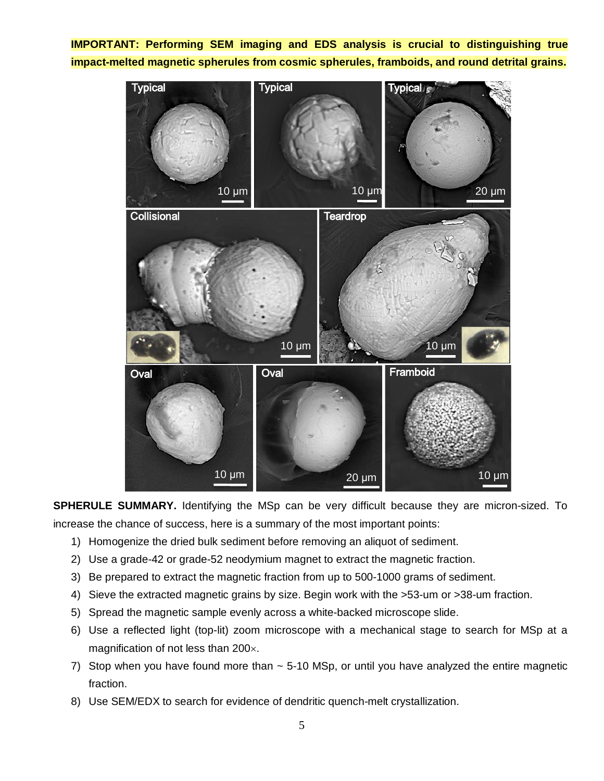**IMPORTANT: Performing SEM imaging and EDS analysis is crucial to distinguishing true impact-melted magnetic spherules from cosmic spherules, framboids, and round detrital grains.**



**SPHERULE SUMMARY.** Identifying the MSp can be very difficult because they are micron-sized. To increase the chance of success, here is a summary of the most important points:

- 1) Homogenize the dried bulk sediment before removing an aliquot of sediment.
- 2) Use a grade-42 or grade-52 neodymium magnet to extract the magnetic fraction.
- 3) Be prepared to extract the magnetic fraction from up to 500-1000 grams of sediment.
- 4) Sieve the extracted magnetic grains by size. Begin work with the >53-um or >38-um fraction.
- 5) Spread the magnetic sample evenly across a white-backed microscope slide.
- 6) Use a reflected light (top-lit) zoom microscope with a mechanical stage to search for MSp at a magnification of not less than 200×.
- 7) Stop when you have found more than  $\sim$  5-10 MSp, or until you have analyzed the entire magnetic fraction.
- 8) Use SEM/EDX to search for evidence of dendritic quench-melt crystallization.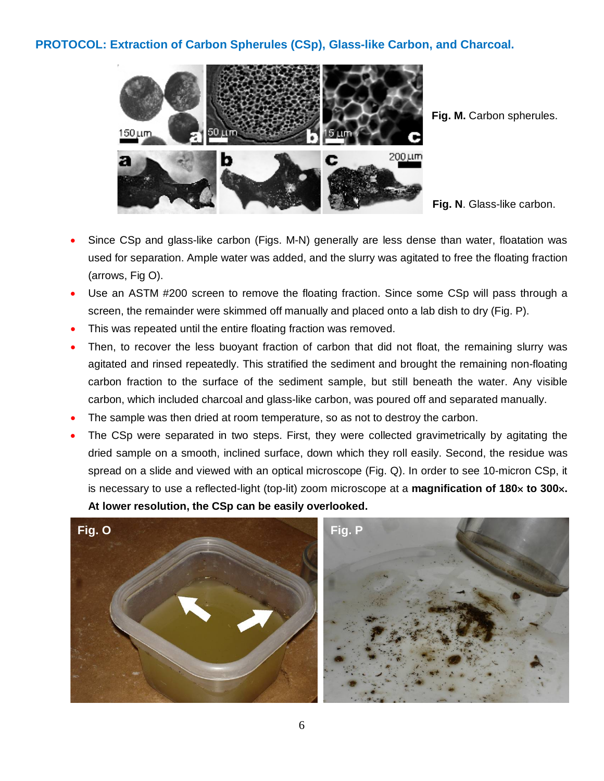## **PROTOCOL: Extraction of Carbon Spherules (CSp), Glass-like Carbon, and Charcoal.**



Fig. M. Carbon spherules.

• Since CSp and glass-like carbon (Figs. M-N) generally are less dense than water, floatation was used for separation. Ample water was added, and the slurry was agitated to free the floating fraction (arrows, Fig O).

- Use an ASTM #200 screen to remove the floating fraction. Since some CSp will pass through a screen, the remainder were skimmed off manually and placed onto a lab dish to dry (Fig. P).
- This was repeated until the entire floating fraction was removed.
- Then, to recover the less buoyant fraction of carbon that did not float, the remaining slurry was agitated and rinsed repeatedly. This stratified the sediment and brought the remaining non-floating carbon fraction to the surface of the sediment sample, but still beneath the water. Any visible carbon, which included charcoal and glass-like carbon, was poured off and separated manually.
- The sample was then dried at room temperature, so as not to destroy the carbon.
- The CSp were separated in two steps. First, they were collected gravimetrically by agitating the dried sample on a smooth, inclined surface, down which they roll easily. Second, the residue was spread on a slide and viewed with an optical microscope (Fig. Q). In order to see 10-micron CSp, it is necessary to use a reflected-light (top-lit) zoom microscope at a **magnification of 180**× **to 300**×**. At lower resolution, the CSp can be easily overlooked.**